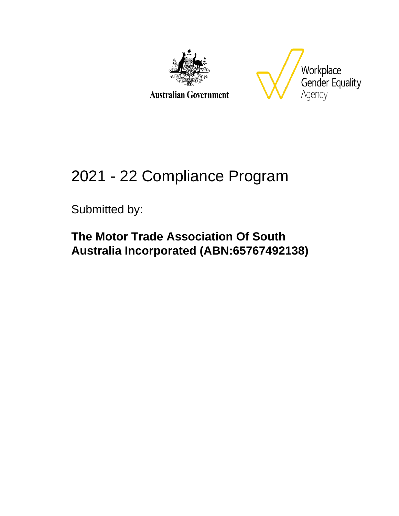

**Australian Government** 



# 2021 - 22 Compliance Program

Submitted by:

**The Motor Trade Association Of South Australia Incorporated (ABN:65767492138)**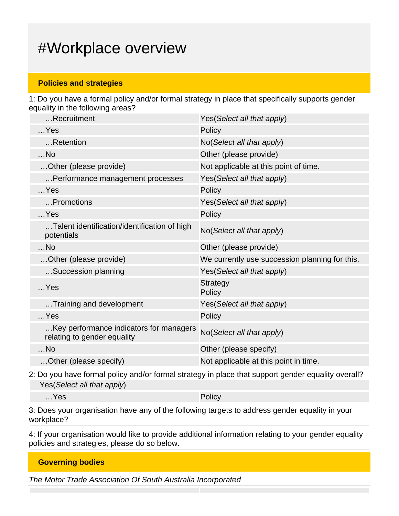### #Workplace overview

#### **Policies and strategies**

1: Do you have a formal policy and/or formal strategy in place that specifically supports gender equality in the following areas?

| Recruitment                                                            | Yes (Select all that apply)                    |
|------------------------------------------------------------------------|------------------------------------------------|
| $$ Yes                                                                 | Policy                                         |
| Retention                                                              | No(Select all that apply)                      |
| $$ No                                                                  | Other (please provide)                         |
| Other (please provide)                                                 | Not applicable at this point of time.          |
| Performance management processes                                       | Yes(Select all that apply)                     |
| $$ Yes                                                                 | Policy                                         |
| Promotions                                                             | Yes(Select all that apply)                     |
| $$ Yes                                                                 | Policy                                         |
| Talent identification/identification of high<br>potentials             | No(Select all that apply)                      |
| $$ No                                                                  | Other (please provide)                         |
| Other (please provide)                                                 | We currently use succession planning for this. |
| Succession planning                                                    | Yes(Select all that apply)                     |
| $$ Yes                                                                 | <b>Strategy</b><br>Policy                      |
| Training and development                                               | Yes(Select all that apply)                     |
|                                                                        |                                                |
| $$ Yes                                                                 | Policy                                         |
| Key performance indicators for managers<br>relating to gender equality | No(Select all that apply)                      |
| $$ No                                                                  | Other (please specify)                         |

2: Do you have formal policy and/or formal strategy in place that support gender equality overall? Yes(Select all that apply)

…Yes Policy

3: Does your organisation have any of the following targets to address gender equality in your workplace?

4: If your organisation would like to provide additional information relating to your gender equality policies and strategies, please do so below.

| <b>Governing bodies</b> |  |  |
|-------------------------|--|--|
|                         |  |  |

The Motor Trade Association Of South Australia Incorporated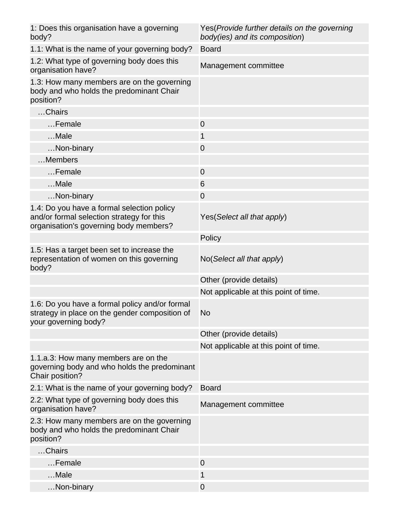| 1: Does this organisation have a governing<br>body?                                                                               | Yes (Provide further details on the governing<br>body(ies) and its composition) |
|-----------------------------------------------------------------------------------------------------------------------------------|---------------------------------------------------------------------------------|
| 1.1: What is the name of your governing body?                                                                                     | <b>Board</b>                                                                    |
| 1.2: What type of governing body does this<br>organisation have?                                                                  | Management committee                                                            |
| 1.3: How many members are on the governing<br>body and who holds the predominant Chair<br>position?                               |                                                                                 |
| Chairs                                                                                                                            |                                                                                 |
| Female                                                                                                                            | $\mathbf 0$                                                                     |
| $$ Male                                                                                                                           | $\mathbf{1}$                                                                    |
| Non-binary                                                                                                                        | $\mathbf 0$                                                                     |
| Members                                                                                                                           |                                                                                 |
| Female                                                                                                                            | $\mathbf 0$                                                                     |
| Male                                                                                                                              | 6                                                                               |
| Non-binary                                                                                                                        | 0                                                                               |
| 1.4: Do you have a formal selection policy<br>and/or formal selection strategy for this<br>organisation's governing body members? | Yes (Select all that apply)                                                     |
|                                                                                                                                   | Policy                                                                          |
| 1.5: Has a target been set to increase the<br>representation of women on this governing<br>body?                                  | No(Select all that apply)                                                       |
|                                                                                                                                   | Other (provide details)                                                         |
|                                                                                                                                   | Not applicable at this point of time.                                           |
| 1.6: Do you have a formal policy and/or formal<br>strategy in place on the gender composition of<br>your governing body?          | <b>No</b>                                                                       |
|                                                                                                                                   | Other (provide details)                                                         |
|                                                                                                                                   | Not applicable at this point of time.                                           |
| 1.1.a.3: How many members are on the<br>governing body and who holds the predominant<br>Chair position?                           |                                                                                 |
| 2.1: What is the name of your governing body?                                                                                     | <b>Board</b>                                                                    |
| 2.2: What type of governing body does this<br>organisation have?                                                                  | Management committee                                                            |
| 2.3: How many members are on the governing<br>body and who holds the predominant Chair<br>position?                               |                                                                                 |
| Chairs                                                                                                                            |                                                                                 |
| Female                                                                                                                            | $\overline{0}$                                                                  |
| Male                                                                                                                              | $\mathbf{1}$                                                                    |
| Non-binary                                                                                                                        | $\mathbf 0$                                                                     |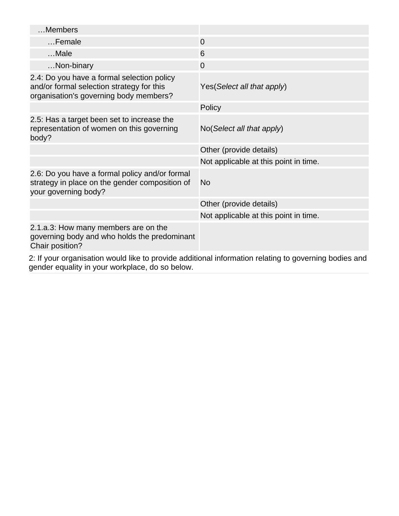| Members                                                                                                                           |                                                                                                       |
|-----------------------------------------------------------------------------------------------------------------------------------|-------------------------------------------------------------------------------------------------------|
| Female                                                                                                                            | $\overline{0}$                                                                                        |
| Male                                                                                                                              | 6                                                                                                     |
| Non-binary                                                                                                                        | $\overline{0}$                                                                                        |
| 2.4: Do you have a formal selection policy<br>and/or formal selection strategy for this<br>organisation's governing body members? | Yes (Select all that apply)                                                                           |
|                                                                                                                                   | Policy                                                                                                |
| 2.5: Has a target been set to increase the<br>representation of women on this governing<br>body?                                  | No(Select all that apply)                                                                             |
|                                                                                                                                   | Other (provide details)                                                                               |
|                                                                                                                                   | Not applicable at this point in time.                                                                 |
| 2.6: Do you have a formal policy and/or formal<br>strategy in place on the gender composition of<br>your governing body?          | No                                                                                                    |
|                                                                                                                                   | Other (provide details)                                                                               |
|                                                                                                                                   | Not applicable at this point in time.                                                                 |
| 2.1.a.3: How many members are on the<br>governing body and who holds the predominant<br>Chair position?                           |                                                                                                       |
|                                                                                                                                   | 2. If your erganication would like to provide additional information relating to governing hedies and |

2: If your organisation would like to provide additional information relating to governing bodies and gender equality in your workplace, do so below.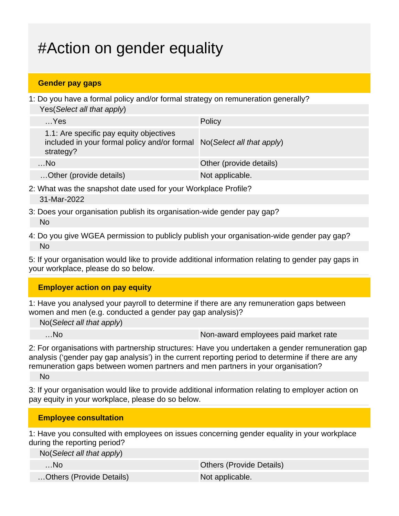## #Action on gender equality

#### **Gender pay gaps**

1: Do you have a formal policy and/or formal strategy on remuneration generally? Yes(Select all that apply)

| $$ Yes                                                                                                                         | Policy                  |
|--------------------------------------------------------------------------------------------------------------------------------|-------------------------|
| 1.1: Are specific pay equity objectives<br>included in your formal policy and/or formal No(Select all that apply)<br>strategy? |                         |
| $$ No                                                                                                                          | Other (provide details) |
| Other (provide details)                                                                                                        | Not applicable.         |

- 2: What was the snapshot date used for your Workplace Profile? 31-Mar-2022
- 3: Does your organisation publish its organisation-wide gender pay gap? No
- 4: Do you give WGEA permission to publicly publish your organisation-wide gender pay gap? No

5: If your organisation would like to provide additional information relating to gender pay gaps in your workplace, please do so below.

#### **Employer action on pay equity**

1: Have you analysed your payroll to determine if there are any remuneration gaps between women and men (e.g. conducted a gender pay gap analysis)?

No(Select all that apply)

...No Non-award employees paid market rate

2: For organisations with partnership structures: Have you undertaken a gender remuneration gap analysis ('gender pay gap analysis') in the current reporting period to determine if there are any remuneration gaps between women partners and men partners in your organisation?

No

3: If your organisation would like to provide additional information relating to employer action on pay equity in your workplace, please do so below.

#### **Employee consultation**

1: Have you consulted with employees on issues concerning gender equality in your workplace during the reporting period?

| $No(Select \textit{all} that apply)$ |                                 |
|--------------------------------------|---------------------------------|
| …No                                  | <b>Others (Provide Details)</b> |
| Others (Provide Details)             | Not applicable.                 |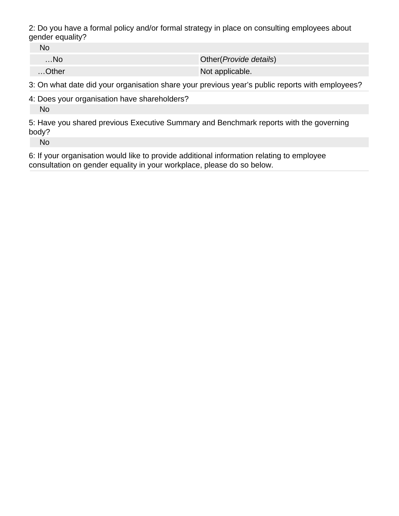2: Do you have a formal policy and/or formal strategy in place on consulting employees about gender equality?

No

…No Other(Provide details)

…Other Not applicable.

3: On what date did your organisation share your previous year's public reports with employees?

4: Does your organisation have shareholders?

No

5: Have you shared previous Executive Summary and Benchmark reports with the governing body?

No

6: If your organisation would like to provide additional information relating to employee consultation on gender equality in your workplace, please do so below.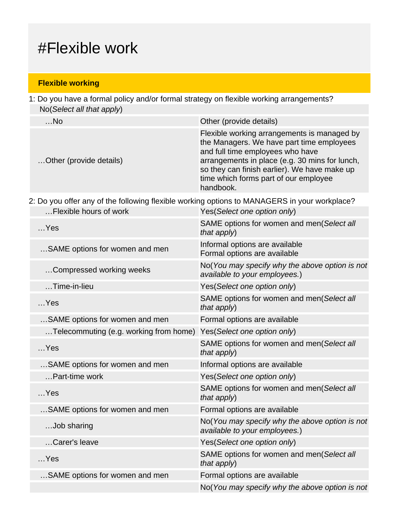### #Flexible work

#### **Flexible working**

1: Do you have a formal policy and/or formal strategy on flexible working arrangements? No(Select all that apply)

| $$ No                   | Other (provide details)                                                                                                                                                                                                                                                              |
|-------------------------|--------------------------------------------------------------------------------------------------------------------------------------------------------------------------------------------------------------------------------------------------------------------------------------|
| Other (provide details) | Flexible working arrangements is managed by<br>the Managers. We have part time employees<br>and full time employees who have<br>arrangements in place (e.g. 30 mins for lunch,<br>so they can finish earlier). We have make up<br>time which forms part of our employee<br>handbook. |
|                         |                                                                                                                                                                                                                                                                                      |

2: Do you offer any of the following flexible working options to MANAGERS in your workplace?

| Flexible hours of work                 | Yes(Select one option only)                                                     |
|----------------------------------------|---------------------------------------------------------------------------------|
| $$ Yes                                 | SAME options for women and men(Select all<br>that apply)                        |
| SAME options for women and men         | Informal options are available<br>Formal options are available                  |
| Compressed working weeks               | No(You may specify why the above option is not<br>available to your employees.) |
| $$ Time-in-lieu                        | Yes(Select one option only)                                                     |
| $$ Yes                                 | SAME options for women and men(Select all<br>that apply)                        |
| SAME options for women and men         | Formal options are available                                                    |
| Telecommuting (e.g. working from home) | Yes(Select one option only)                                                     |
| $$ Yes                                 | SAME options for women and men(Select all<br>that $apply$ )                     |
| SAME options for women and men         | Informal options are available                                                  |
| Part-time work                         | Yes(Select one option only)                                                     |
| $$ Yes                                 | SAME options for women and men(Select all<br>that apply)                        |
| SAME options for women and men         | Formal options are available                                                    |
| Job sharing                            | No(You may specify why the above option is not<br>available to your employees.) |
| Carer's leave                          | Yes(Select one option only)                                                     |
| $$ Yes                                 | SAME options for women and men(Select all<br>that apply)                        |
| SAME options for women and men         | Formal options are available                                                    |
|                                        | No(You may specify why the above option is not                                  |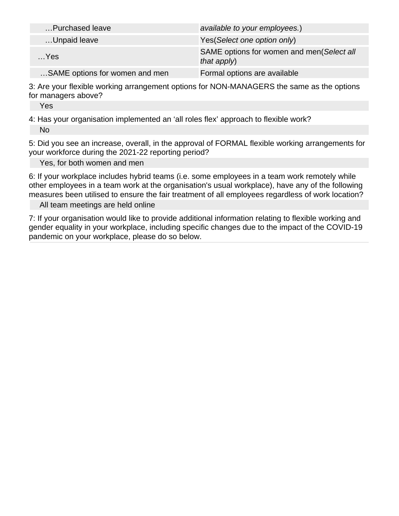| Purchased leave                | available to your employees.)                            |
|--------------------------------|----------------------------------------------------------|
| Unpaid leave                   | Yes (Select one option only)                             |
| $$ Yes                         | SAME options for women and men(Select all<br>that apply) |
| SAME options for women and men | Formal options are available                             |

3: Are your flexible working arrangement options for NON-MANAGERS the same as the options for managers above?

Yes

4: Has your organisation implemented an 'all roles flex' approach to flexible work? No

5: Did you see an increase, overall, in the approval of FORMAL flexible working arrangements for your workforce during the 2021-22 reporting period?

Yes, for both women and men

6: If your workplace includes hybrid teams (i.e. some employees in a team work remotely while other employees in a team work at the organisation's usual workplace), have any of the following measures been utilised to ensure the fair treatment of all employees regardless of work location?

All team meetings are held online

7: If your organisation would like to provide additional information relating to flexible working and gender equality in your workplace, including specific changes due to the impact of the COVID-19 pandemic on your workplace, please do so below.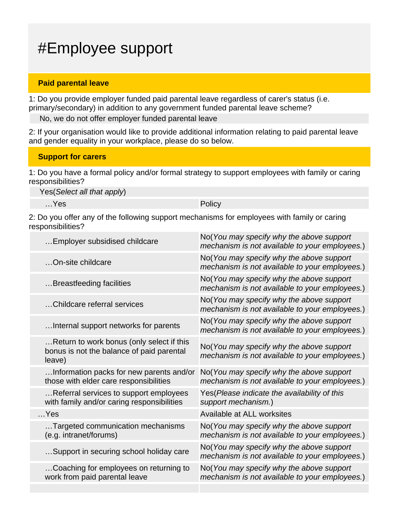### #Employee support

#### **Paid parental leave**

1: Do you provide employer funded paid parental leave regardless of carer's status (i.e. primary/secondary) in addition to any government funded parental leave scheme?

No, we do not offer employer funded parental leave

2: If your organisation would like to provide additional information relating to paid parental leave and gender equality in your workplace, please do so below.

#### **Support for carers**

1: Do you have a formal policy and/or formal strategy to support employees with family or caring responsibilities?

Yes(Select all that apply)

…Yes Policy

2: Do you offer any of the following support mechanisms for employees with family or caring responsibilities?

| Employer subsidised childcare                                                                    | No(You may specify why the above support<br>mechanism is not available to your employees.) |
|--------------------------------------------------------------------------------------------------|--------------------------------------------------------------------------------------------|
| On-site childcare                                                                                | No(You may specify why the above support<br>mechanism is not available to your employees.) |
| Breastfeeding facilities                                                                         | No(You may specify why the above support<br>mechanism is not available to your employees.) |
| Childcare referral services                                                                      | No(You may specify why the above support<br>mechanism is not available to your employees.) |
| Internal support networks for parents                                                            | No(You may specify why the above support<br>mechanism is not available to your employees.) |
| Return to work bonus (only select if this<br>bonus is not the balance of paid parental<br>leave) | No(You may specify why the above support<br>mechanism is not available to your employees.) |
| Information packs for new parents and/or<br>those with elder care responsibilities               | No(You may specify why the above support<br>mechanism is not available to your employees.) |
| Referral services to support employees<br>with family and/or caring responsibilities             | Yes(Please indicate the availability of this<br>support mechanism.)                        |
| $$ Yes                                                                                           | Available at ALL worksites                                                                 |
| Targeted communication mechanisms<br>(e.g. intranet/forums)                                      | No(You may specify why the above support<br>mechanism is not available to your employees.) |
| Support in securing school holiday care                                                          | No(You may specify why the above support<br>mechanism is not available to your employees.) |
| Coaching for employees on returning to<br>work from paid parental leave                          | No(You may specify why the above support<br>mechanism is not available to your employees.) |
|                                                                                                  |                                                                                            |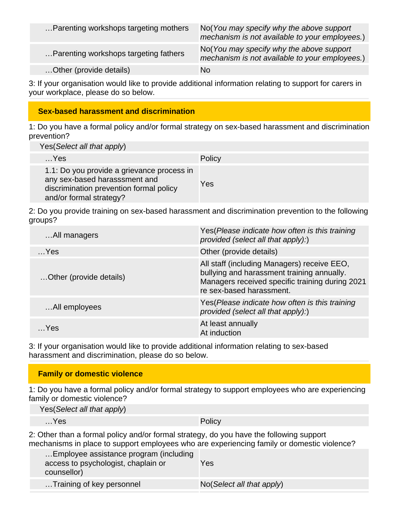| Parenting workshops targeting mothers | No(You may specify why the above support<br>mechanism is not available to your employees.) |
|---------------------------------------|--------------------------------------------------------------------------------------------|
| Parenting workshops targeting fathers | No(You may specify why the above support<br>mechanism is not available to your employees.) |
| Other (provide details)               | No                                                                                         |

3: If your organisation would like to provide additional information relating to support for carers in your workplace, please do so below.

#### **Sex-based harassment and discrimination**

1: Do you have a formal policy and/or formal strategy on sex-based harassment and discrimination prevention?

Yes(Select all that apply)

| $$ Yes                                                                                                                                            | Policy |
|---------------------------------------------------------------------------------------------------------------------------------------------------|--------|
| 1.1: Do you provide a grievance process in<br>any sex-based harasssment and<br>discrimination prevention formal policy<br>and/or formal strategy? | Yes    |

2: Do you provide training on sex-based harassment and discrimination prevention to the following groups?

| All managers            | Yes (Please indicate how often is this training<br>provided (select all that apply):)                                                                                    |
|-------------------------|--------------------------------------------------------------------------------------------------------------------------------------------------------------------------|
| $$ Yes                  | Other (provide details)                                                                                                                                                  |
| Other (provide details) | All staff (including Managers) receive EEO,<br>bullying and harassment training annually.<br>Managers received specific training during 2021<br>re sex-based harassment. |
| All employees           | Yes (Please indicate how often is this training<br>provided (select all that apply):)                                                                                    |
| $\sim$ Yes              | At least annually<br>At induction                                                                                                                                        |

3: If your organisation would like to provide additional information relating to sex-based harassment and discrimination, please do so below.

#### **Family or domestic violence**

1: Do you have a formal policy and/or formal strategy to support employees who are experiencing family or domestic violence?

| Yes (Select all that apply) |        |
|-----------------------------|--------|
| $$ Yes                      | Policy |

2: Other than a formal policy and/or formal strategy, do you have the following support mechanisms in place to support employees who are experiencing family or domestic violence?

| Employee assistance program (including<br>access to psychologist, chaplain or<br>counsellor) | Yes                       |
|----------------------------------------------------------------------------------------------|---------------------------|
| Training of key personnel                                                                    | No(Select all that apply) |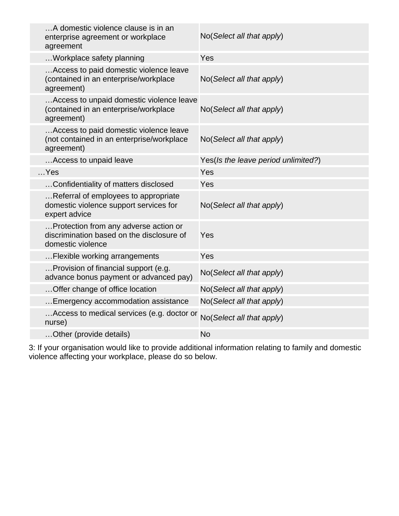| enterprise agreement or workplace<br>agreement | A domestic violence clause is in an                                                 | No(Select all that apply)           |
|------------------------------------------------|-------------------------------------------------------------------------------------|-------------------------------------|
| Workplace safety planning                      |                                                                                     | Yes                                 |
| agreement)                                     | Access to paid domestic violence leave<br>(contained in an enterprise/workplace     | No(Select all that apply)           |
| agreement)                                     | Access to unpaid domestic violence leave<br>(contained in an enterprise/workplace   | No(Select all that apply)           |
| agreement)                                     | Access to paid domestic violence leave<br>(not contained in an enterprise/workplace | No(Select all that apply)           |
| Access to unpaid leave                         |                                                                                     | Yes(Is the leave period unlimited?) |
| $$ Yes                                         |                                                                                     | Yes                                 |
|                                                | Confidentiality of matters disclosed                                                | Yes                                 |
| expert advice                                  | Referral of employees to appropriate<br>domestic violence support services for      | No(Select all that apply)           |
| domestic violence                              | Protection from any adverse action or<br>discrimination based on the disclosure of  | Yes                                 |
| Flexible working arrangements                  |                                                                                     | Yes                                 |
|                                                | Provision of financial support (e.g.<br>advance bonus payment or advanced pay)      | No(Select all that apply)           |
| Offer change of office location                |                                                                                     | No(Select all that apply)           |
|                                                | Emergency accommodation assistance                                                  | No(Select all that apply)           |
| nurse)                                         | Access to medical services (e.g. doctor or                                          | No(Select all that apply)           |
| Other (provide details)                        |                                                                                     | <b>No</b>                           |

3: If your organisation would like to provide additional information relating to family and domestic violence affecting your workplace, please do so below.